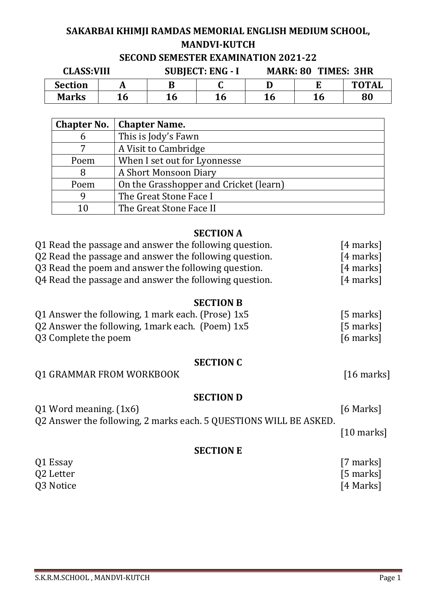## **SAKARBAI KHIMJI RAMDAS MEMORIAL ENGLISH MEDIUM SCHOOL, MANDVI-KUTCH**

#### **SECOND SEMESTER EXAMINATION 2021-22**

| <b>CLASS:VIII</b> |    |    | <b>SUBJECT: ENG - I</b> | <b>MARK: 80 TIMES: 3HR</b> |    |              |  |
|-------------------|----|----|-------------------------|----------------------------|----|--------------|--|
| <b>Section</b>    |    |    |                         |                            |    | <b>TOTAL</b> |  |
| <b>Marks</b>      | 16 | 16 | <b>16</b>               | <b>16</b>                  | 16 | 80           |  |

| <b>Chapter No.</b> | <b>Chapter Name.</b>                   |
|--------------------|----------------------------------------|
|                    | This is Jody's Fawn                    |
|                    | A Visit to Cambridge                   |
| Poem               | When I set out for Lyonnesse           |
| 8                  | A Short Monsoon Diary                  |
| Poem               | On the Grasshopper and Cricket (learn) |
| $\Omega$           | The Great Stone Face I                 |
| 10                 | The Great Stone Face II                |

#### **SECTION A**

| Q1 Read the passage and answer the following question. | [4 marks] |
|--------------------------------------------------------|-----------|
| Q2 Read the passage and answer the following question. | [4 marks] |
| Q3 Read the poem and answer the following question.    | [4 marks] |
| Q4 Read the passage and answer the following question. | [4 marks] |

#### **SECTION B**

| Q1 Answer the following, 1 mark each. (Prose) 1x5  | $[5$ marks] |
|----------------------------------------------------|-------------|
| Q2 Answer the following, 1 mark each. (Poem) $1x5$ | [5 marks]   |
| Q3 Complete the poem                               | $[6$ marks] |

#### **SECTION C**

### Q1 GRAMMAR FROM WORKBOOK [16 marks]

#### **SECTION D**

Q1 Word meaning. (1x6) [6 Marks] Q2 Answer the following, 2 marks each. 5 QUESTIONS WILL BE ASKED.

[10 marks]

#### **SECTION E**

| Q1 Essay  | $[7$ marks] |
|-----------|-------------|
| Q2 Letter | $[5$ marks] |
| Q3 Notice | [4 Marks]   |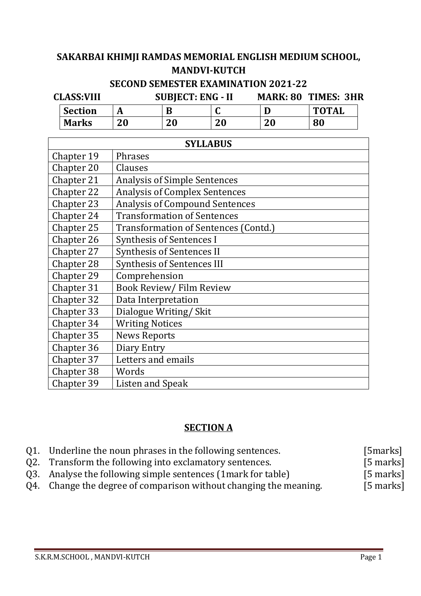## **SAKARBAI KHIMJI RAMDAS MEMORIAL ENGLISH MEDIUM SCHOOL, MANDVI-KUTCH**

#### **SECOND SEMESTER EXAMINATION 2021-22**

| <b>CLASS:VIII</b> |                |    | <b>SUBJECT: ENG - II</b> |    | <b>MARK: 80 TIMES: 3HR</b> |              |  |
|-------------------|----------------|----|--------------------------|----|----------------------------|--------------|--|
|                   | <b>Section</b> |    |                          |    |                            | <b>TOTAL</b> |  |
|                   | <b>Marks</b>   | 20 | 20                       | 20 | 20                         | 80           |  |

| <b>SYLLABUS</b> |                                             |  |  |
|-----------------|---------------------------------------------|--|--|
| Chapter 19      | Phrases                                     |  |  |
| Chapter 20      | Clauses                                     |  |  |
| Chapter 21      | <b>Analysis of Simple Sentences</b>         |  |  |
| Chapter 22      | <b>Analysis of Complex Sentences</b>        |  |  |
| Chapter 23      | <b>Analysis of Compound Sentences</b>       |  |  |
| Chapter 24      | <b>Transformation of Sentences</b>          |  |  |
| Chapter 25      | <b>Transformation of Sentences (Contd.)</b> |  |  |
| Chapter 26      | Synthesis of Sentences I                    |  |  |
| Chapter 27      | <b>Synthesis of Sentences II</b>            |  |  |
| Chapter 28      | <b>Synthesis of Sentences III</b>           |  |  |
| Chapter 29      | Comprehension                               |  |  |
| Chapter 31      | <b>Book Review/Film Review</b>              |  |  |
| Chapter 32      | Data Interpretation                         |  |  |
| Chapter 33      | Dialogue Writing/ Skit                      |  |  |
| Chapter 34      | <b>Writing Notices</b>                      |  |  |
| Chapter 35      | <b>News Reports</b>                         |  |  |
| Chapter 36      | Diary Entry                                 |  |  |
| Chapter 37      | Letters and emails                          |  |  |
| Chapter 38      | Words                                       |  |  |
| Chapter 39      | Listen and Speak                            |  |  |

### **SECTION A**

| Q1. Underline the noun phrases in the following sentences. | [5marks]    |
|------------------------------------------------------------|-------------|
| Q2. Transform the following into exclamatory sentences.    | $[5$ marks] |

- Q2. Analyse the following simple sentences (1mark for table) [5 marks]<br>Q4. Change the degree of comparison without changing the meaning. [5 marks]
- $Q4.$  Change the degree of comparison without changing the meaning.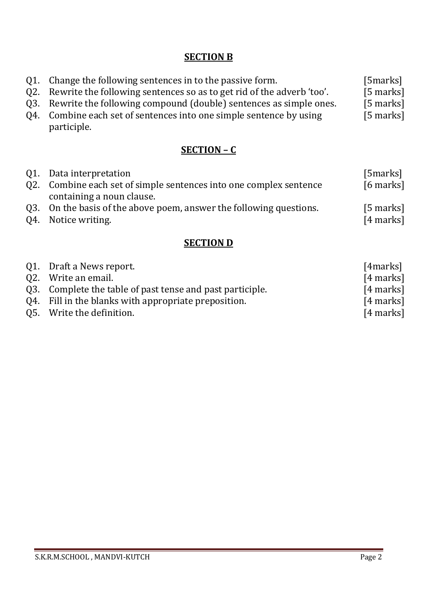### **SECTION B**

- Q1. Change the following sentences in to the passive form. [5marks] [5marks]<br>Q2. Rewrite the following sentences so as to get rid of the adverb 'too'. [5 marks]
- $Q2.$  Rewrite the following sentences so as to get rid of the adverb 'too'.
- Q3. Rewrite the following compound (double) sentences as simple ones.  $\begin{bmatrix} 5 \text{ marks} \\ 94. \end{bmatrix}$  Combine each set of sentences into one simple sentence by using  $\begin{bmatrix} 5 \text{ marks} \\ 15 \text{ marks} \end{bmatrix}$
- Combine each set of sentences into one simple sentence by using participle.

### **SECTION – C**

| Q1. Data interpretation                                             | [5marks]    |
|---------------------------------------------------------------------|-------------|
| Q2. Combine each set of simple sentences into one complex sentence  | $[6$ marks] |
| containing a noun clause.                                           |             |
| Q3. On the basis of the above poem, answer the following questions. | $[5$ marks] |
| Q4. Notice writing.                                                 | $[4$ marks] |

### **SECTION D**

| Q1. Draft a News report.                                  | [4marks]    |
|-----------------------------------------------------------|-------------|
| 02. Write an email.                                       | $[4$ marks] |
| Q3. Complete the table of past tense and past participle. | $[4$ marks] |
| Q4. Fill in the blanks with appropriate preposition.      | $[4$ marks] |
| 05. Write the definition.                                 | $[4$ marks] |

[5 marks]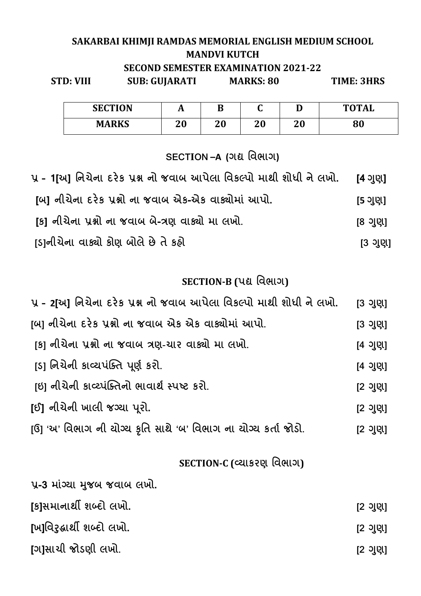### SAKARBAI KHIMJI RAMDAS MEMORIAL ENGLISH MEDIUM SCHOOL **MANDVI KUTCH SECOND SEMESTER EXAMINATION 2021-22**

**STD: VIII** 

**SUB: GUJARATI MARKS: 80** 

TIME: 3HRS

| <b>SECTION</b> | A        | n<br>U   | ∽<br>ັ |          | <b>TOTAL</b> |
|----------------|----------|----------|--------|----------|--------------|
| <b>MARKS</b>   | 20<br>ΔU | ΩΩ<br>∠ν | 20     | ΩΩ<br>ΔU | 80           |

# SECTION-A (ગદ્ય વિભાગ)

| પ્ર - 1[આ] નિચેના દરેક પ્રશ્ન નો જવાબ આપેલા વિકલ્પો માથી શોધી ને લખો. | [4 ગણ]             |
|-----------------------------------------------------------------------|--------------------|
| [બ] નીચેના દરેક પ્રશ્નો ના જવાબ એક-એક વાક્યોમાં આપો.                  | [5 ગુણ]            |
| [ક] નીચેના પ્રશ્નો ના જવાબ બે-ત્રણ વાક્યો મા લખો.                     | <u>। । १९</u> अप्र |
| ાડાનીચેના વાક્યો કોણ બોલે છે તે કહો                                   | $[3$ ગુણા          |

# SECTION-B (પદ્ય વિભાગ)

| પ્ર - 2[અ] નિચેના દરેક પ્રશ્ન નો જવાબ આપેલા વિકલ્પો માથી શોધી ને લખો. | [3 9 9]   |
|-----------------------------------------------------------------------|-----------|
| [બ] નીચેના દરેક પ્રશ્નો ના જવાબ એક એક વાક્યોમાં આપો.                  | [3 ગુણ]   |
| [ક] નીચેના પ્રશ્નો ના જવાબ ત્રણ-ચાર વાક્યો મા લખો.                    | [4 39]    |
| [ડ] નિચેની કાવ્યપંક્તિ પૂર્ણ કરો.                                     | $[4$ ગુણ] |
| ાઇ] નીચેની કાવ્ટપંક્તિનો ભાવાર્થ સ્પષ્ટ કરો.                          | [2 9]     |
| [ઈ] નીચેની ખાલી જગ્યા પૂરો.                                           | [2 9]     |
| [ઉ] 'અ' વિભાગ ની ચોગ્ય કૃતિ સાથે 'બ' વિભાગ ના ચોગ્ય કર્તા જોડો.       | [2 9]     |
| SECTION-C (વ્યાકરણ વિભાગ)                                             |           |
| וונר הווא האט האסור ווכרוור 2 ור $\sim$                               |           |

| પ્ર-૦ નાગ્વા મુજબ જપાબ લખા. |         |
|-----------------------------|---------|
| [ક]સમાનાર્થી શબ્દો લખો.     | [2 ગુણ] |
| [ખ]વિરૂદ્ધાર્થી શબ્દો લખો.  | [2 ગુણ] |
| [ગ]સાચી જોડણી લખો.          | [2 ગુણ] |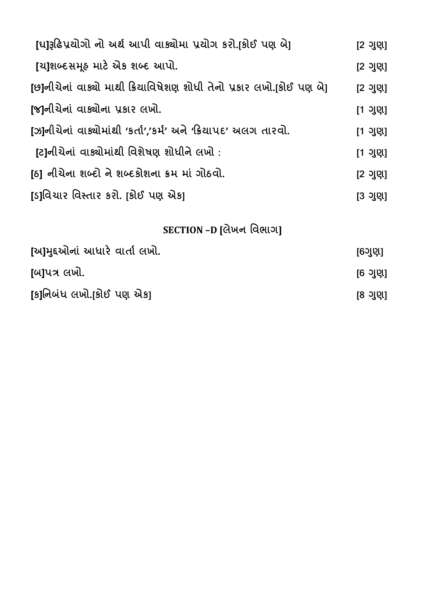| [ધ]રૂઢિપ્રયોગો નો અર્થ આપી વાક્યોમા પ્રયોગ કરો.[કોઈ પણ બે]           | [2 ગુણ]   |
|----------------------------------------------------------------------|-----------|
| [ચ]શબ્દસમૂફ માટે એક શબ્દ આપો.                                        | [2 9]     |
| [છ]નીચેનાં વાક્યો માથી ક્રિયાવિષેશણ શોધી તેનો પ્રકાર લખો.[કોઈ પણ બે] | [2 9]     |
| [જ]નીચેનાં વાક્યોના પ્રકાર લખો.                                      | $[1$ ગુણ] |
| [ઝ]નીચેનાં વાક્યોમાંથી 'કર્તા','કર્મ' અને 'ક્રિયાપદ' અલગ તારવો.      | $[1$ ગુણા |
| [ટ]નીચેનાં વાક્યોમાંથી વિશેષણ શોધીને લખો :                           | $[1$ ગુણ] |
| [6] નીચેના શબ્દો ને શબ્દકોશના ક્રમ માં ગોઠવો.                        | [2 9]     |
| [ડ]વિચાર વિસ્તાર કરો. [કોઈ પણ એક]                                    | $[3$ ગુણ  |

# SECTION -D [લેખન વિભાગ]

| [અ]મુદ્દઓનાં આધારે વાર્તા લખો. | [6ગુણ]  |
|--------------------------------|---------|
| [બ]પત્ર લખો.                   | [6 ગુણ] |
| [ક]નિબંધ લખો.[કોઈ પણ એક]       | [8 ગુણ] |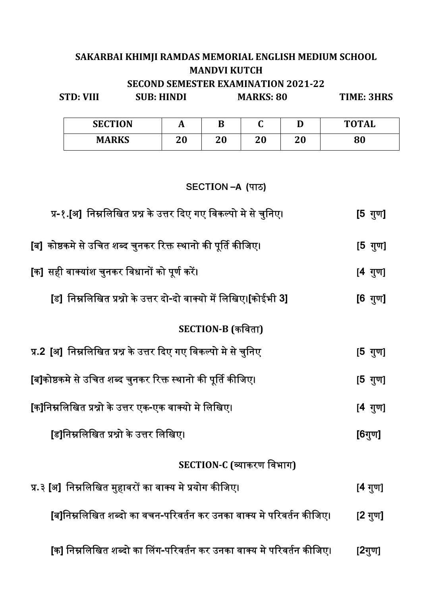# **SAKARBAI KHIMJI RAMDAS MEMORIAL ENGLISH MEDIUM SCHOOL MANDVI KUTCH**

**SECOND SEMESTER EXAMINATION 2021-22** 

| <b>STD: VIII</b>                                                       | <b>SUB: HINDI</b> |              |                           | <b>MARKS: 80</b> |    | TIME: 3HRS    |
|------------------------------------------------------------------------|-------------------|--------------|---------------------------|------------------|----|---------------|
| <b>SECTION</b>                                                         |                   | $\mathbf{A}$ | B                         | $\mathbf C$      | D  | <b>TOTAL</b>  |
| <b>MARKS</b>                                                           |                   | 20           | 20                        | 20               | 20 | 80            |
|                                                                        |                   |              |                           |                  |    |               |
|                                                                        |                   |              | SECTION - A (पाठ)         |                  |    |               |
| प्र-१.[अ]  निम्नलिखित प्रश्न के उत्तर दिए गए विकल्पो मे से चुनिए।      |                   |              |                           |                  |    | [5 गुण]       |
| [ब]  कोष्ठकमे से उचित शब्द चुनकर रिक्त स्थानो की पूर्ति कीजिए।         |                   |              |                           |                  |    | [5 गुण]       |
| [क]  सही वाक्यांश चुनकर विधानों को पूर्ण करें।                         |                   |              |                           |                  |    | [4 गुण]       |
| [ड]  निम्नलिखित प्रश्नो के उत्तर दो-दो वाक्यो में लिखिए।[कोईभी 3]      |                   |              |                           |                  |    | $[6 \t{y}$ ण] |
|                                                                        |                   |              | SECTION-B (कविता)         |                  |    |               |
| प्र.2 [अ] निम्नलिखित प्रश्न के उत्तर दिए गए विकल्पो मे से चुनिए        |                   |              |                           |                  |    | [5 गुण]       |
| [ब]कोष्ठकमे से उचित शब्द चुनकर रिक्त स्थानो की पूर्ति कीजिए।           |                   |              |                           |                  |    | [5 गुण]       |
| [क]निम्नलिखित प्रश्नो के उत्तर एक-एक वाक्यो मे लिखिए।                  |                   |              |                           |                  |    | [4 गुण]       |
| [ड]निम्नलिखित प्रश्नो के उत्तर लिखिए।                                  |                   |              |                           |                  |    | $[6]$ गुण]    |
|                                                                        |                   |              | SECTION-C (व्याकरण विभाग) |                  |    |               |
| प्र.३ [अ]  निम्नलिखित मुहावरों का वाक्य मे प्रयोग कीजिए।               |                   |              |                           |                  |    | [4 गुण]       |
| [ब]निम्नलिखित शब्दो का वचन-परिवर्तन कर उनका वाक्य मे परिवर्तन कीजिए।   |                   |              |                           |                  |    | [2 गुण]       |
| [क] निम्नलिखित शब्दो का लिंग-परिवर्तन कर उनका वाक्य मे परिवर्तन कीजिए। |                   |              |                           |                  |    | [2गुण]        |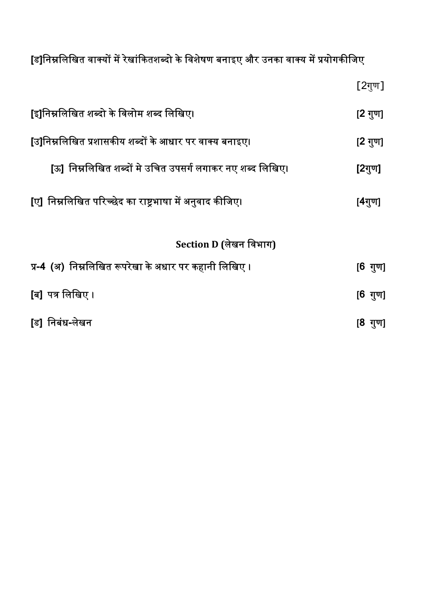# $[$ ड]निम्नलिखित वाक्यों में रेखांकितशब्दो के विशेषण बनाइए और उनका वाक्य में प्रयोगकीजिए

[2गुण]

| [इ]निम्नलिखित शब्दो के विलोम शब्द लिखिए।                   | [ $2 \overline{3}$ गुण] |
|------------------------------------------------------------|-------------------------|
| [उ]निम्नलिखित प्रशासकीय शब्दों के आधार पर वाक्य बनाइए।     | [ $2 \overline{3}$ गुण] |
| [ऊ]  निम्नलिखित शब्दों मे उचित उपसर्ग लगाकर नए शब्द लिखिए। | <u>[2गु</u> ण]          |
| [ए]  निम्नलिखित परिच्छेद का राष्ट्रभाषा में अनुवाद कीजिए।  | [4गुण]                  |
| Section D (लेखन विभाग)                                     |                         |
| प्र-4 (अ) निम्नलिखित रूपरेखा के अधार पर कहानी लिखिए ।      |                         |
| [ब] पत्र लिखिए ।                                           |                         |
| [ड] निबंध-लेखन                                             | [8 गुण <u>]</u>         |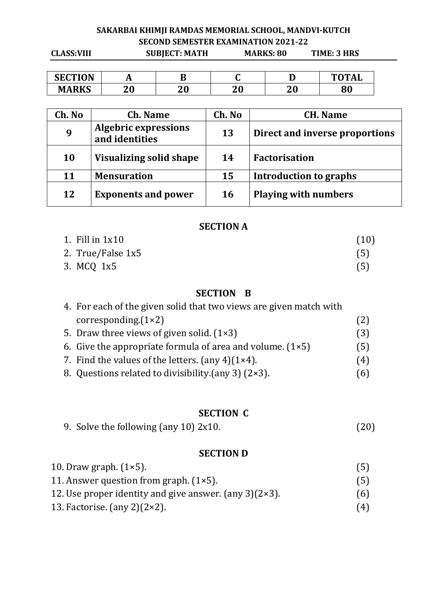## **SAKARBAI KHIMJI RAMDAS MEMORIAL SCHOOL, MANDVI-KUTCH SECOND SEMESTER EXAMINATION 2021-22**

| <b>CLASS:VIII</b> | <b>SUBJECT: MATH</b> | <b>MARKS: 80</b> | TIME: 3 HRS |
|-------------------|----------------------|------------------|-------------|
|                   |                      |                  |             |

| <b>SECTION</b> | л   |     |    |    | <b>TATAI</b><br>AL |
|----------------|-----|-----|----|----|--------------------|
| <b>ARKS</b>    | ኅ ለ | ^^  | ኅለ | nΛ | 80                 |
| M              | 4 V | - v | ⊷∪ | ΔU |                    |

| Ch. No    | <b>Ch.</b> Name                               | Ch. No    | <b>CH.</b> Name                |
|-----------|-----------------------------------------------|-----------|--------------------------------|
| 9         | <b>Algebric expressions</b><br>and identities | 13        | Direct and inverse proportions |
| <b>10</b> | <b>Visualizing solid shape</b>                | 14        | <b>Factorisation</b>           |
| 11        | <b>Mensuration</b>                            | 15        | Introduction to graphs         |
| 12        | <b>Exponents and power</b>                    | <b>16</b> | <b>Playing with numbers</b>    |

### **SECTION A**

| 1. Fill in $1x10$ | (10) |
|-------------------|------|
| 2. True/False 1x5 | (5)  |
| 3. MCQ 1x5        | (5)  |

### **SECTION B**

| 4. For each of the given solid that two views are given match with |     |
|--------------------------------------------------------------------|-----|
| corresponding $(1 \times 2)$                                       | (2) |
| 5. Draw three views of given solid. $(1\times3)$                   | (3) |
| 6. Give the appropriate formula of area and volume. $(1\times5)$   | (5) |
| 7. Find the values of the letters. (any $4(1 \times 4)$ ).         | (4) |
| 8. Questions related to divisibility (any 3) $(2\times3)$ .        | (6) |
|                                                                    |     |
|                                                                    |     |

### **SECTION C**

| 9. Solve the following (any 10) $2x10$ . | (20) |
|------------------------------------------|------|
|------------------------------------------|------|

### **SECTION D**

| 10. Draw graph. $(1\times5)$ .                                | (5) |
|---------------------------------------------------------------|-----|
| 11. Answer question from graph. $(1\times5)$ .                | (5) |
| 12. Use proper identity and give answer. (any $3(2\times3)$ . | (6) |
| 13. Factorise. (any $2(2\times2)$ ).                          | (4) |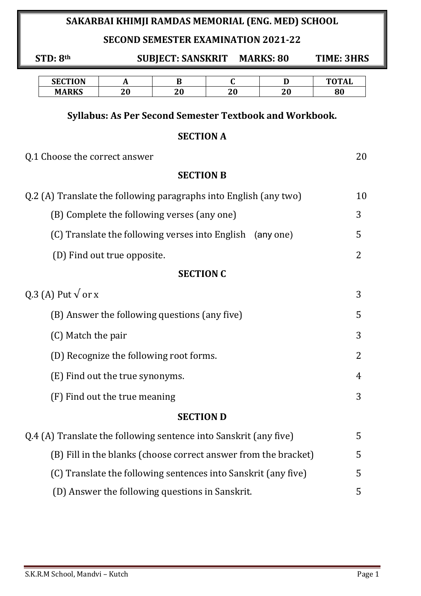| SAKARBAI KHIMJI RAMDAS MEMORIAL (ENG. MED) SCHOOL         |                                                                     |         |                                                                |                   |                                                                 |                    |    |
|-----------------------------------------------------------|---------------------------------------------------------------------|---------|----------------------------------------------------------------|-------------------|-----------------------------------------------------------------|--------------------|----|
| <b>SECOND SEMESTER EXAMINATION 2021-22</b>                |                                                                     |         |                                                                |                   |                                                                 |                    |    |
|                                                           | STD: 8th<br><b>SUBJECT: SANSKRIT MARKS: 80</b><br><b>TIME: 3HRS</b> |         |                                                                |                   |                                                                 |                    |    |
|                                                           | <b>SECTION</b><br><b>MARKS</b>                                      | A<br>20 | B<br>20                                                        | $\mathbf C$<br>20 | D<br>20                                                         | <b>TOTAL</b><br>80 |    |
|                                                           |                                                                     |         |                                                                |                   | <b>Syllabus: As Per Second Semester Textbook and Workbook.</b>  |                    |    |
|                                                           |                                                                     |         | <b>SECTION A</b>                                               |                   |                                                                 |                    |    |
|                                                           | Q.1 Choose the correct answer                                       |         |                                                                |                   |                                                                 |                    | 20 |
|                                                           |                                                                     |         | <b>SECTION B</b>                                               |                   |                                                                 |                    |    |
|                                                           | Q.2 (A) Translate the following paragraphs into English (any two)   |         |                                                                |                   |                                                                 |                    | 10 |
| (B) Complete the following verses (any one)               |                                                                     |         |                                                                | 3                 |                                                                 |                    |    |
| (C) Translate the following verses into English (any one) |                                                                     |         |                                                                | 5                 |                                                                 |                    |    |
| (D) Find out true opposite.                               |                                                                     |         |                                                                | $\overline{2}$    |                                                                 |                    |    |
|                                                           |                                                                     |         | <b>SECTION C</b>                                               |                   |                                                                 |                    |    |
|                                                           | Q.3 (A) Put $\sqrt{or} x$                                           |         |                                                                |                   |                                                                 |                    | 3  |
|                                                           |                                                                     |         | (B) Answer the following questions (any five)                  |                   |                                                                 |                    | 5  |
| (C) Match the pair                                        |                                                                     |         | 3                                                              |                   |                                                                 |                    |    |
| (D) Recognize the following root forms.                   |                                                                     |         |                                                                |                   | $\overline{2}$                                                  |                    |    |
| (E) Find out the true synonyms.                           |                                                                     |         |                                                                | 4                 |                                                                 |                    |    |
| (F) Find out the true meaning                             |                                                                     |         |                                                                | 3                 |                                                                 |                    |    |
| <b>SECTION D</b>                                          |                                                                     |         |                                                                |                   |                                                                 |                    |    |
|                                                           | Q.4 (A) Translate the following sentence into Sanskrit (any five)   |         |                                                                |                   |                                                                 |                    | 5  |
|                                                           |                                                                     |         |                                                                |                   | (B) Fill in the blanks (choose correct answer from the bracket) |                    | 5  |
|                                                           |                                                                     |         | (C) Translate the following sentences into Sanskrit (any five) |                   |                                                                 |                    | 5  |
|                                                           |                                                                     |         | (D) Answer the following questions in Sanskrit.                |                   |                                                                 |                    | 5  |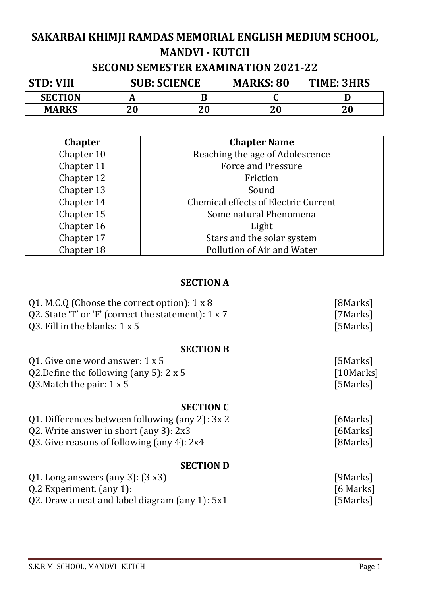# **SAKARBAI KHIMJI RAMDAS MEMORIAL ENGLISH MEDIUM SCHOOL, MANDVI - KUTCH**

## **SECOND SEMESTER EXAMINATION 2021-22**

| <b>STD: VIII</b> | <b>SUB: SCIENCE</b> |    | TIME: 3HRS<br><b>MARKS: 80</b> |    |
|------------------|---------------------|----|--------------------------------|----|
| <b>SECTION</b>   |                     |    |                                |    |
| <b>MARKS</b>     | 20                  | 20 | 20                             | 20 |

| <b>Chapter</b> | <b>Chapter Name</b>                         |
|----------------|---------------------------------------------|
| Chapter 10     | Reaching the age of Adolescence             |
| Chapter 11     | <b>Force and Pressure</b>                   |
| Chapter 12     | Friction                                    |
| Chapter 13     | Sound                                       |
| Chapter 14     | <b>Chemical effects of Electric Current</b> |
| Chapter 15     | Some natural Phenomena                      |
| Chapter 16     | Light                                       |
| Chapter 17     | Stars and the solar system                  |
| Chapter 18     | Pollution of Air and Water                  |

### **SECTION A**

| Q1. M.C.Q (Choose the correct option): 1 x 8<br>Q2. State 'T' or 'F' (correct the statement): 1 x 7<br>Q3. Fill in the blanks: 1 x 5 | [8Marks]<br>[7Marks]<br>[5Marks] |
|--------------------------------------------------------------------------------------------------------------------------------------|----------------------------------|
| <b>SECTION B</b>                                                                                                                     |                                  |
| Q1. Give one word answer: 1 x 5                                                                                                      | [5Marks]                         |
| Q2. Define the following (any 5): $2 \times 5$                                                                                       | $[10$ Marks]                     |
| Q3. Match the pair: 1 x 5                                                                                                            | [5Marks]                         |
| <b>SECTION C</b>                                                                                                                     |                                  |
| Q1. Differences between following (any 2): $3x$ 2                                                                                    | [6Marks]                         |
| Q2. Write answer in short (any 3): 2x3                                                                                               | [6Marks]                         |
| Q3. Give reasons of following (any 4): 2x4                                                                                           | [8Marks]                         |
| <b>SECTION D</b>                                                                                                                     |                                  |
| Q1. Long answers (any 3): $(3x3)$                                                                                                    | [9Marks]                         |
| Q.2 Experiment. (any 1):                                                                                                             | 6 Marks]                         |

Q2. Draw a neat and label diagram (any 1): 5x1 [5Marks]